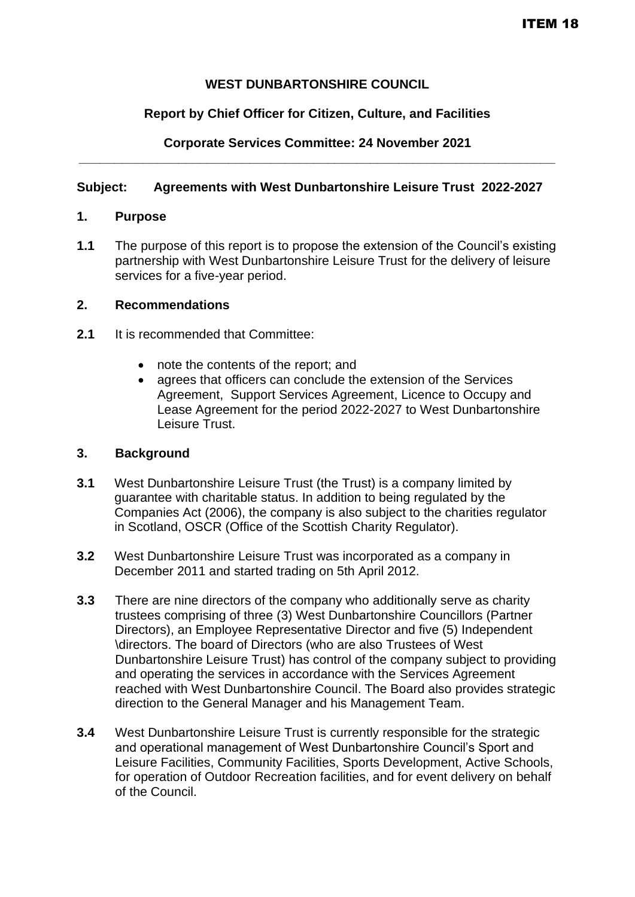# **WEST DUNBARTONSHIRE COUNCIL**

### **Report by Chief Officer for Citizen, Culture, and Facilities**

### **Corporate Services Committee: 24 November 2021 \_\_\_\_\_\_\_\_\_\_\_\_\_\_\_\_\_\_\_\_\_\_\_\_\_\_\_\_\_\_\_\_\_\_\_\_\_\_\_\_\_\_\_\_\_\_\_\_\_\_\_\_\_\_\_\_\_\_\_\_\_\_\_\_\_\_\_**

### **Subject: Agreements with West Dunbartonshire Leisure Trust 2022-2027**

#### **1. Purpose**

**1.1** The purpose of this report is to propose the extension of the Council's existing partnership with West Dunbartonshire Leisure Trust for the delivery of leisure services for a five-year period.

#### **2. Recommendations**

- **2.1** It is recommended that Committee:
	- note the contents of the report; and
	- agrees that officers can conclude the extension of the Services Agreement, Support Services Agreement, Licence to Occupy and Lease Agreement for the period 2022-2027 to West Dunbartonshire Leisure Trust.

### **3. Background**

- **3.1** West Dunbartonshire Leisure Trust (the Trust) is a company limited by guarantee with charitable status. In addition to being regulated by the Companies Act (2006), the company is also subject to the charities regulator in Scotland, OSCR (Office of the Scottish Charity Regulator).
- **3.2** West Dunbartonshire Leisure Trust was incorporated as a company in December 2011 and started trading on 5th April 2012.
- **3.3** There are nine directors of the company who additionally serve as charity trustees comprising of three (3) West Dunbartonshire Councillors (Partner Directors), an Employee Representative Director and five (5) Independent \directors. The board of Directors (who are also Trustees of West Dunbartonshire Leisure Trust) has control of the company subject to providing and operating the services in accordance with the Services Agreement reached with West Dunbartonshire Council. The Board also provides strategic direction to the General Manager and his Management Team.
- **3.4** West Dunbartonshire Leisure Trust is currently responsible for the strategic and operational management of West Dunbartonshire Council's Sport and Leisure Facilities, Community Facilities, Sports Development, Active Schools, for operation of Outdoor Recreation facilities, and for event delivery on behalf of the Council.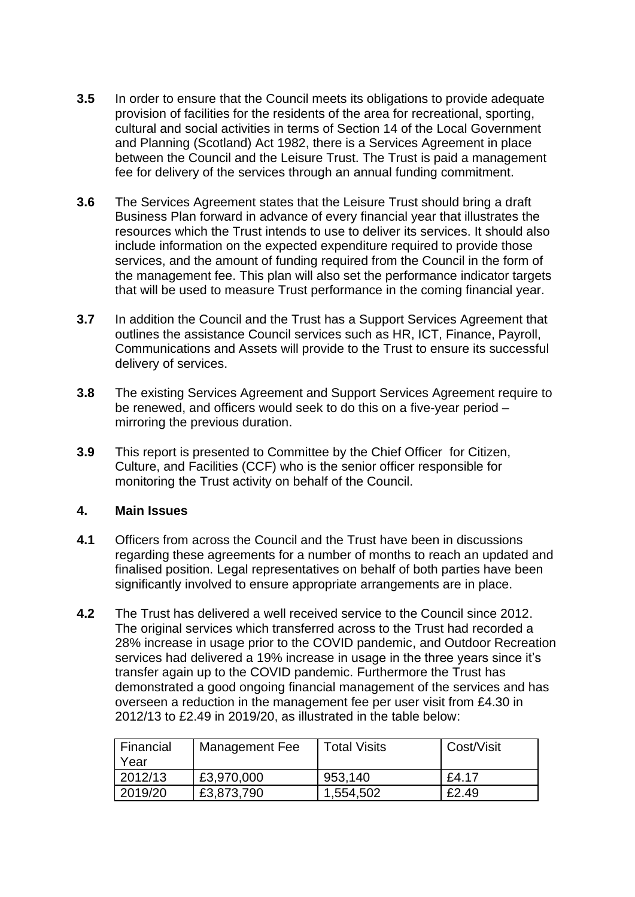- **3.5** In order to ensure that the Council meets its obligations to provide adequate provision of facilities for the residents of the area for recreational, sporting, cultural and social activities in terms of Section 14 of the Local Government and Planning (Scotland) Act 1982, there is a Services Agreement in place between the Council and the Leisure Trust. The Trust is paid a management fee for delivery of the services through an annual funding commitment.
- **3.6** The Services Agreement states that the Leisure Trust should bring a draft Business Plan forward in advance of every financial year that illustrates the resources which the Trust intends to use to deliver its services. It should also include information on the expected expenditure required to provide those services, and the amount of funding required from the Council in the form of the management fee. This plan will also set the performance indicator targets that will be used to measure Trust performance in the coming financial year.
- **3.7** In addition the Council and the Trust has a Support Services Agreement that outlines the assistance Council services such as HR, ICT, Finance, Payroll, Communications and Assets will provide to the Trust to ensure its successful delivery of services.
- **3.8** The existing Services Agreement and Support Services Agreement require to be renewed, and officers would seek to do this on a five-year period – mirroring the previous duration.
- **3.9** This report is presented to Committee by the Chief Officer for Citizen, Culture, and Facilities (CCF) who is the senior officer responsible for monitoring the Trust activity on behalf of the Council.

### **4. Main Issues**

- **4.1** Officers from across the Council and the Trust have been in discussions regarding these agreements for a number of months to reach an updated and finalised position. Legal representatives on behalf of both parties have been significantly involved to ensure appropriate arrangements are in place.
- **4.2** The Trust has delivered a well received service to the Council since 2012. The original services which transferred across to the Trust had recorded a 28% increase in usage prior to the COVID pandemic, and Outdoor Recreation services had delivered a 19% increase in usage in the three years since it's transfer again up to the COVID pandemic. Furthermore the Trust has demonstrated a good ongoing financial management of the services and has overseen a reduction in the management fee per user visit from £4.30 in 2012/13 to £2.49 in 2019/20, as illustrated in the table below:

| Financial<br>Year | Management Fee | <b>Total Visits</b> | Cost/Visit |
|-------------------|----------------|---------------------|------------|
| 2012/13           | £3,970,000     | 953,140             | £4.17      |
| 2019/20           | £3,873,790     | 1,554,502           | £2.49      |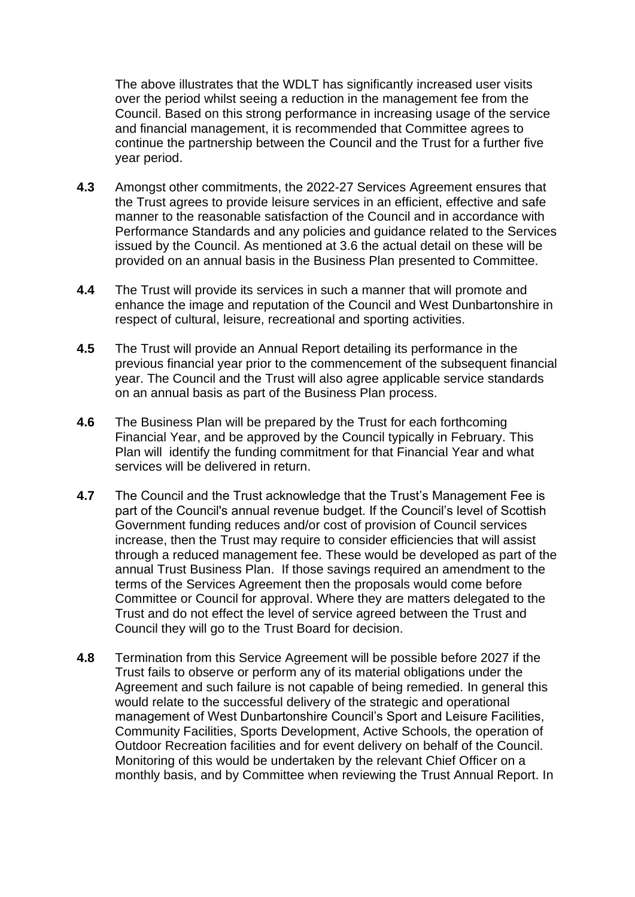The above illustrates that the WDLT has significantly increased user visits over the period whilst seeing a reduction in the management fee from the Council. Based on this strong performance in increasing usage of the service and financial management, it is recommended that Committee agrees to continue the partnership between the Council and the Trust for a further five year period.

- **4.3** Amongst other commitments, the 2022-27 Services Agreement ensures that the Trust agrees to provide leisure services in an efficient, effective and safe manner to the reasonable satisfaction of the Council and in accordance with Performance Standards and any policies and guidance related to the Services issued by the Council. As mentioned at 3.6 the actual detail on these will be provided on an annual basis in the Business Plan presented to Committee.
- **4.4** The Trust will provide its services in such a manner that will promote and enhance the image and reputation of the Council and West Dunbartonshire in respect of cultural, leisure, recreational and sporting activities.
- **4.5** The Trust will provide an Annual Report detailing its performance in the previous financial year prior to the commencement of the subsequent financial year. The Council and the Trust will also agree applicable service standards on an annual basis as part of the Business Plan process.
- **4.6** The Business Plan will be prepared by the Trust for each forthcoming Financial Year, and be approved by the Council typically in February. This Plan will identify the funding commitment for that Financial Year and what services will be delivered in return.
- **4.7** The Council and the Trust acknowledge that the Trust's Management Fee is part of the Council's annual revenue budget. If the Council's level of Scottish Government funding reduces and/or cost of provision of Council services increase, then the Trust may require to consider efficiencies that will assist through a reduced management fee. These would be developed as part of the annual Trust Business Plan. If those savings required an amendment to the terms of the Services Agreement then the proposals would come before Committee or Council for approval. Where they are matters delegated to the Trust and do not effect the level of service agreed between the Trust and Council they will go to the Trust Board for decision.
- **4.8** Termination from this Service Agreement will be possible before 2027 if the Trust fails to observe or perform any of its material obligations under the Agreement and such failure is not capable of being remedied. In general this would relate to the successful delivery of the strategic and operational management of West Dunbartonshire Council's Sport and Leisure Facilities, Community Facilities, Sports Development, Active Schools, the operation of Outdoor Recreation facilities and for event delivery on behalf of the Council. Monitoring of this would be undertaken by the relevant Chief Officer on a monthly basis, and by Committee when reviewing the Trust Annual Report. In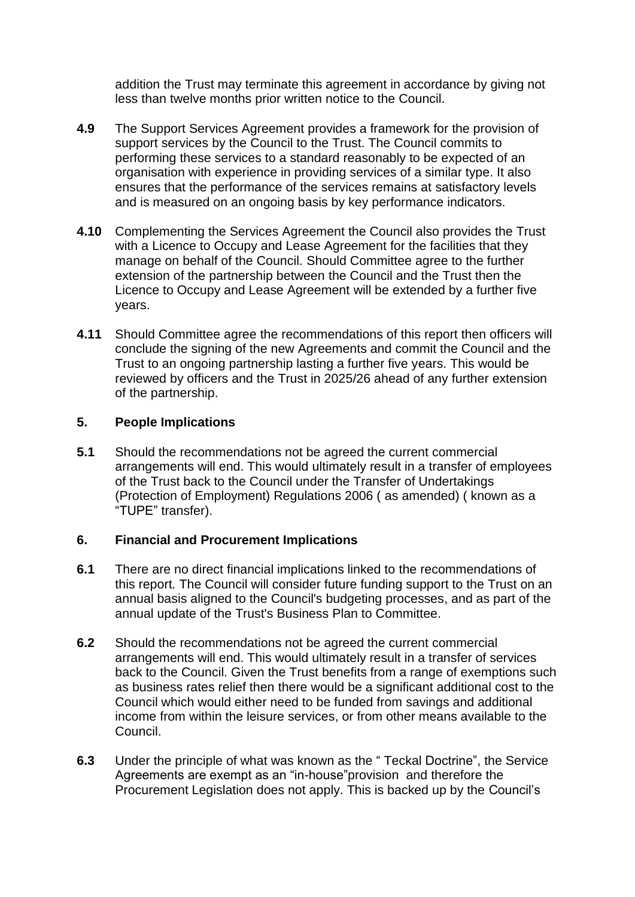addition the Trust may terminate this agreement in accordance by giving not less than twelve months prior written notice to the Council.

- **4.9** The Support Services Agreement provides a framework for the provision of support services by the Council to the Trust. The Council commits to performing these services to a standard reasonably to be expected of an organisation with experience in providing services of a similar type. It also ensures that the performance of the services remains at satisfactory levels and is measured on an ongoing basis by key performance indicators.
- **4.10** Complementing the Services Agreement the Council also provides the Trust with a Licence to Occupy and Lease Agreement for the facilities that they manage on behalf of the Council. Should Committee agree to the further extension of the partnership between the Council and the Trust then the Licence to Occupy and Lease Agreement will be extended by a further five years.
- **4.11** Should Committee agree the recommendations of this report then officers will conclude the signing of the new Agreements and commit the Council and the Trust to an ongoing partnership lasting a further five years. This would be reviewed by officers and the Trust in 2025/26 ahead of any further extension of the partnership.

### **5. People Implications**

**5.1** Should the recommendations not be agreed the current commercial arrangements will end. This would ultimately result in a transfer of employees of the Trust back to the Council under the Transfer of Undertakings (Protection of Employment) Regulations 2006 ( as amended) ( known as a "TUPE" transfer).

### **6. Financial and Procurement Implications**

- **6.1** There are no direct financial implications linked to the recommendations of this report. The Council will consider future funding support to the Trust on an annual basis aligned to the Council's budgeting processes, and as part of the annual update of the Trust's Business Plan to Committee.
- **6.2** Should the recommendations not be agreed the current commercial arrangements will end. This would ultimately result in a transfer of services back to the Council. Given the Trust benefits from a range of exemptions such as business rates relief then there would be a significant additional cost to the Council which would either need to be funded from savings and additional income from within the leisure services, or from other means available to the Council.
- **6.3** Under the principle of what was known as the " Teckal Doctrine", the Service Agreements are exempt as an "in-house"provision and therefore the Procurement Legislation does not apply. This is backed up by the Council's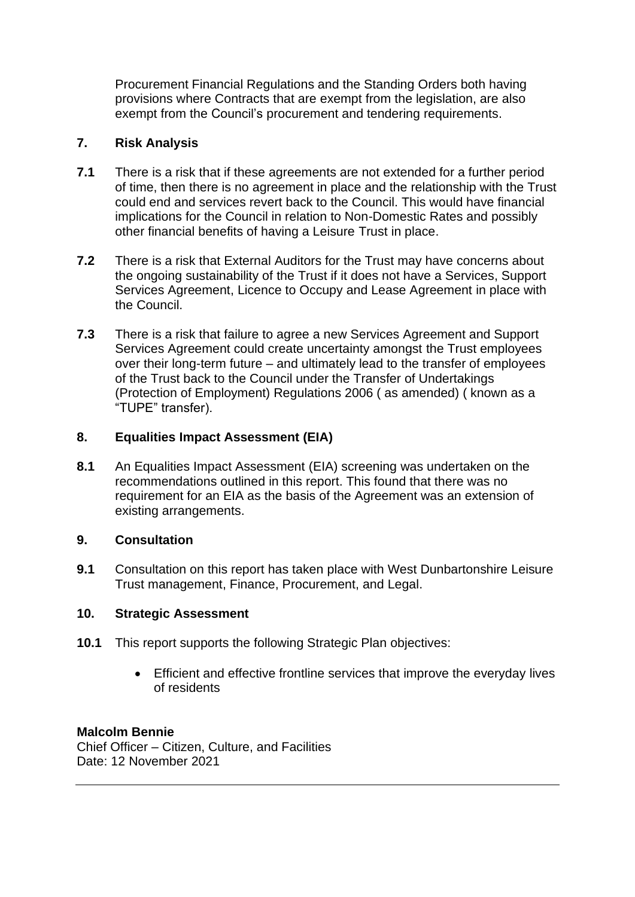Procurement Financial Regulations and the Standing Orders both having provisions where Contracts that are exempt from the legislation, are also exempt from the Council's procurement and tendering requirements.

# **7. Risk Analysis**

- **7.1** There is a risk that if these agreements are not extended for a further period of time, then there is no agreement in place and the relationship with the Trust could end and services revert back to the Council. This would have financial implications for the Council in relation to Non-Domestic Rates and possibly other financial benefits of having a Leisure Trust in place.
- **7.2** There is a risk that External Auditors for the Trust may have concerns about the ongoing sustainability of the Trust if it does not have a Services, Support Services Agreement, Licence to Occupy and Lease Agreement in place with the Council.
- **7.3** There is a risk that failure to agree a new Services Agreement and Support Services Agreement could create uncertainty amongst the Trust employees over their long-term future – and ultimately lead to the transfer of employees of the Trust back to the Council under the Transfer of Undertakings (Protection of Employment) Regulations 2006 ( as amended) ( known as a "TUPE" transfer).

# **8. Equalities Impact Assessment (EIA)**

**8.1** An Equalities Impact Assessment (EIA) screening was undertaken on the recommendations outlined in this report. This found that there was no requirement for an EIA as the basis of the Agreement was an extension of existing arrangements.

# **9. Consultation**

**9.1** Consultation on this report has taken place with West Dunbartonshire Leisure Trust management, Finance, Procurement, and Legal.

# **10. Strategic Assessment**

- **10.1** This report supports the following Strategic Plan objectives:
	- Efficient and effective frontline services that improve the everyday lives of residents

# **Malcolm Bennie**

Chief Officer – Citizen, Culture, and Facilities Date: 12 November 2021